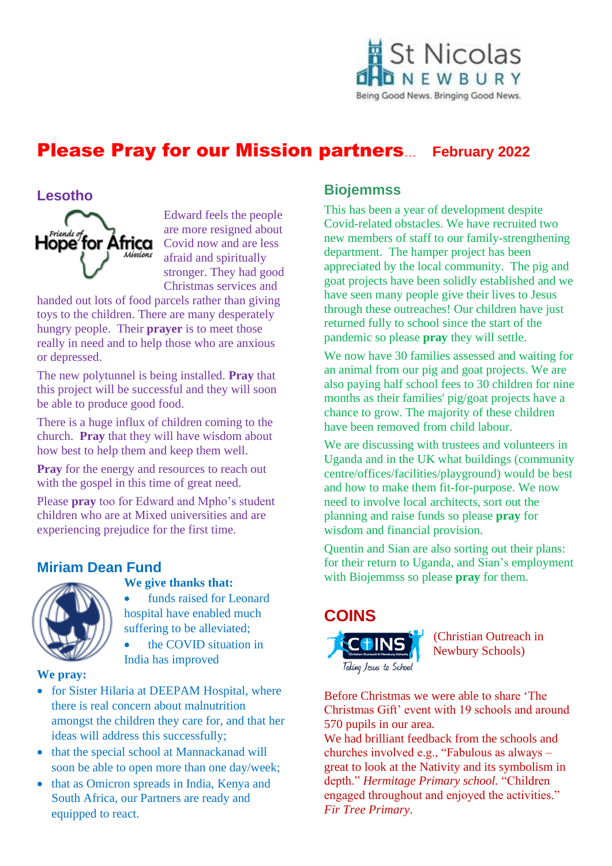

# Please Pray for our Mission partners… **February 2022**

#### **Lesotho**



Edward feels the people are more resigned about Covid now and are less afraid and spiritually stronger. They had good Christmas services and

handed out lots of food parcels rather than giving toys to the children. There are many desperately hungry people. Their **prayer** is to meet those really in need and to help those who are anxious or depressed.

The new polytunnel is being installed. **Pray** that this project will be successful and they will soon be able to produce good food.

There is a huge influx of children coming to the church. **Pray** that they will have wisdom about how best to help them and keep them well.

**Pray** for the energy and resources to reach out with the gospel in this time of great need.

Please **pray** too for Edward and Mpho's student children who are at Mixed universities and are experiencing prejudice for the first time.

# **Miriam Dean Fund**



#### **We give thanks that:**

funds raised for Leonard hospital have enabled much suffering to be alleviated;

• the COVID situation in India has improved

#### **We pray:**

- for Sister Hilaria at DEEPAM Hospital, where there is real concern about malnutrition amongst the children they care for, and that her ideas will address this successfully;
- that the special school at Mannackanad will soon be able to open more than one day/week;
- that as Omicron spreads in India, Kenya and South Africa, our Partners are ready and equipped to react.

# **Biojemmss**

This has been a year of development despite Covid-related obstacles. We have recruited two new members of staff to our family-strengthening department. The hamper project has been appreciated by the local community. The pig and goat projects have been solidly established and we have seen many people give their lives to Jesus through these outreaches! Our children have just returned fully to school since the start of the pandemic so please **pray** they will settle.

We now have 30 families assessed and waiting for an animal from our pig and goat projects. We are also paying half school fees to 30 children for nine months as their families' pig/goat projects have a chance to grow. The majority of these children have been removed from child labour.

We are discussing with trustees and volunteers in Uganda and in the UK what buildings (community centre/offices/facilities/playground) would be best and how to make them fit-for-purpose. We now need to involve local architects, sort out the planning and raise funds so please **pray** for wisdom and financial provision.

Quentin and Sian are also sorting out their plans: for their return to Uganda, and Sian's employment with Biojemmss so please **pray** for them.



(Christian Outreach in Newbury Schools)

Before Christmas we were able to share 'The Christmas Gift' event with 19 schools and around 570 pupils in our area.

We had brilliant feedback from the schools and churches involved e.g., "Fabulous as always – great to look at the Nativity and its symbolism in depth." *Hermitage Primary school.* "Children engaged throughout and enjoyed the activities." *Fir Tree Primary*.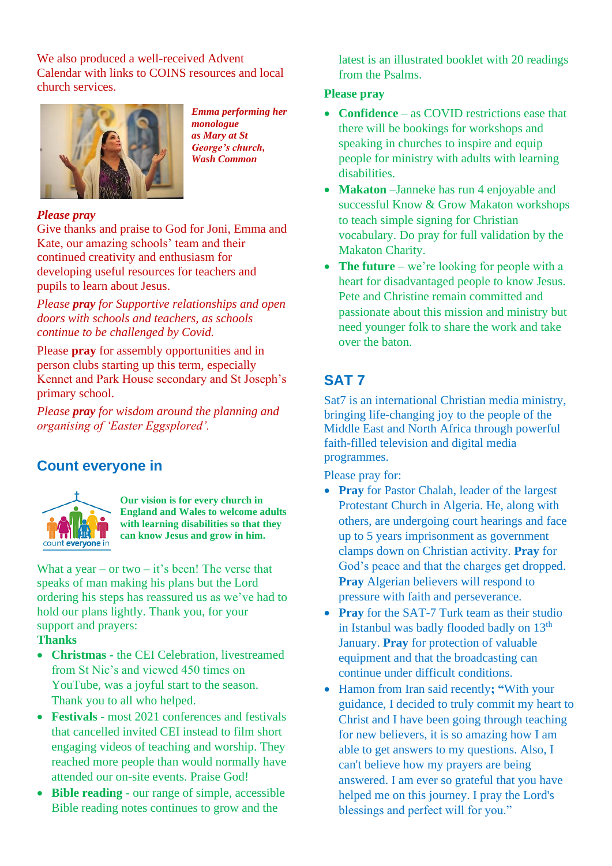We also produced a well-received Advent Calendar with links to COINS resources and local church services.



*Emma performing her monologue as Mary at St George's church, Wash Common*

#### *Please pray*

Give thanks and praise to God for Joni, Emma and Kate, our amazing schools' team and their continued creativity and enthusiasm for developing useful resources for teachers and pupils to learn about Jesus.

*Please pray for Supportive relationships and open doors with schools and teachers, as schools continue to be challenged by Covid.*

Please **pray** for assembly opportunities and in person clubs starting up this term, especially Kennet and Park House secondary and St Joseph's primary school.

*Please pray for wisdom around the planning and organising of 'Easter Eggsplored'.* 

# **Count everyone in**



**Our vision is for every church in England and Wales to welcome adults with learning disabilities so that they can know Jesus and grow in him.**

What a year – or two – it's been! The verse that speaks of man making his plans but the Lord ordering his steps has reassured us as we've had to hold our plans lightly. Thank you, for your support and prayers:

#### **Thanks**

- **Christmas -** the CEI Celebration, livestreamed from St Nic's and viewed 450 times on YouTube, was a joyful start to the season. Thank you to all who helped.
- **Festivals**  most 2021 conferences and festivals that cancelled invited CEI instead to film short engaging videos of teaching and worship. They reached more people than would normally have attended our on-site events. Praise God!
- **Bible reading**  our range of simple, accessible Bible reading notes continues to grow and the

latest is an illustrated booklet with 20 readings from the Psalms.

#### **Please pray**

- **Confidence** as COVID restrictions ease that there will be bookings for workshops and speaking in churches to inspire and equip people for ministry with adults with learning disabilities.
- **Makaton** –Janneke has run 4 enjoyable and successful Know & Grow Makaton workshops to teach simple signing for Christian vocabulary. Do pray for full validation by the Makaton Charity.
- **The future** we're looking for people with a heart for disadvantaged people to know Jesus. Pete and Christine remain committed and passionate about this mission and ministry but need younger folk to share the work and take over the baton.

# **SAT 7**

Sat7 is an international Christian media ministry, bringing life-changing joy to the people of the Middle East and North Africa through powerful faith-filled television and digital media programmes.

Please pray for:

- **Pray** for Pastor Chalah, leader of the largest Protestant Church in Algeria. He, along with others, are undergoing court hearings and face up to 5 years imprisonment as government clamps down on Christian activity. **Pray** for God's peace and that the charges get dropped. **Pray** Algerian believers will respond to pressure with faith and perseverance.
- **Pray** for the SAT-7 Turk team as their studio in Istanbul was badly flooded badly on 13<sup>th</sup> January. **Pray** for protection of valuable equipment and that the broadcasting can continue under difficult conditions.
- Hamon from Iran said recently**; "**With your guidance, I decided to truly commit my heart to Christ and I have been going through teaching for new believers, it is so amazing how I am able to get answers to my questions. Also, I can't believe how my prayers are being answered. I am ever so grateful that you have helped me on this journey. I pray the Lord's blessings and perfect will for you."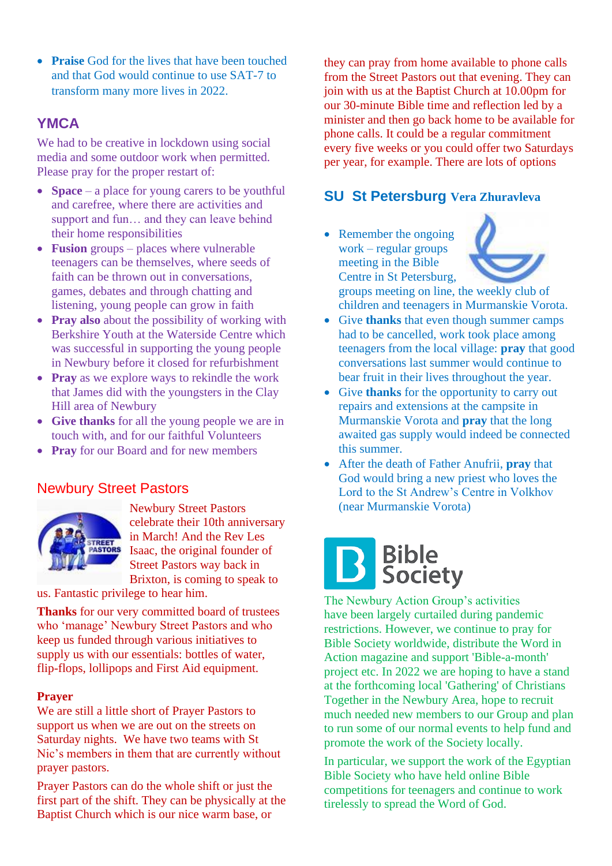• **Praise** God for the lives that have been touched and that God would continue to use SAT-7 to transform many more lives in 2022.

# **YMCA**

We had to be creative in lockdown using social media and some outdoor work when permitted. Please pray for the proper restart of:

- **Space** a place for young carers to be youthful and carefree, where there are activities and support and fun… and they can leave behind their home responsibilities
- **Fusion** groups places where vulnerable teenagers can be themselves, where seeds of faith can be thrown out in conversations, games, debates and through chatting and listening, young people can grow in faith
- **Pray also** about the possibility of working with Berkshire Youth at the Waterside Centre which was successful in supporting the young people in Newbury before it closed for refurbishment
- **Pray** as we explore ways to rekindle the work that James did with the youngsters in the Clay Hill area of Newbury
- **Give thanks** for all the young people we are in touch with, and for our faithful Volunteers
- **Pray** for our Board and for new members

# Newbury Street Pastors



Newbury Street Pastors celebrate their 10th anniversary in March! And the Rev Les Isaac, the original founder of Street Pastors way back in Brixton, is coming to speak to

us. Fantastic privilege to hear him.

**Thanks** for our very committed board of trustees who 'manage' Newbury Street Pastors and who keep us funded through various initiatives to supply us with our essentials: bottles of water, flip-flops, lollipops and First Aid equipment.

#### **Prayer**

We are still a little short of Prayer Pastors to support us when we are out on the streets on Saturday nights. We have two teams with St Nic's members in them that are currently without prayer pastors.

Prayer Pastors can do the whole shift or just the first part of the shift. They can be physically at the Baptist Church which is our nice warm base, or

they can pray from home available to phone calls from the Street Pastors out that evening. They can join with us at the Baptist Church at 10.00pm for our 30-minute Bible time and reflection led by a minister and then go back home to be available for phone calls. It could be a regular commitment every five weeks or you could offer two Saturdays per year, for example. There are lots of options

## **SU St Petersburg Vera Zhuravleva**

• Remember the ongoing work – regular groups meeting in the Bible Centre in St Petersburg,



groups meeting on line, the weekly club of children and teenagers in Murmanskie Vorota.

- Give **thanks** that even though summer camps had to be cancelled, work took place among teenagers from the local village: **pray** that good conversations last summer would continue to bear fruit in their lives throughout the year.
- Give **thanks** for the opportunity to carry out repairs and extensions at the campsite in Murmanskie Vorota and **pray** that the long awaited gas supply would indeed be connected this summer.
- After the death of Father Anufrii, **pray** that God would bring a new priest who loves the Lord to the St Andrew's Centre in Volkhov (near Murmanskie Vorota)

# **B** Bible<br>Society

The Newbury Action Group's activities have been largely curtailed during pandemic restrictions. However, we continue to pray for Bible Society worldwide, distribute the Word in Action magazine and support 'Bible-a-month' project etc. In 2022 we are hoping to have a stand at the forthcoming local 'Gathering' of Christians Together in the Newbury Area, hope to recruit much needed new members to our Group and plan to run some of our normal events to help fund and promote the work of the Society locally.

In particular, we support the work of the Egyptian Bible Society who have held online Bible competitions for teenagers and continue to work tirelessly to spread the Word of God.